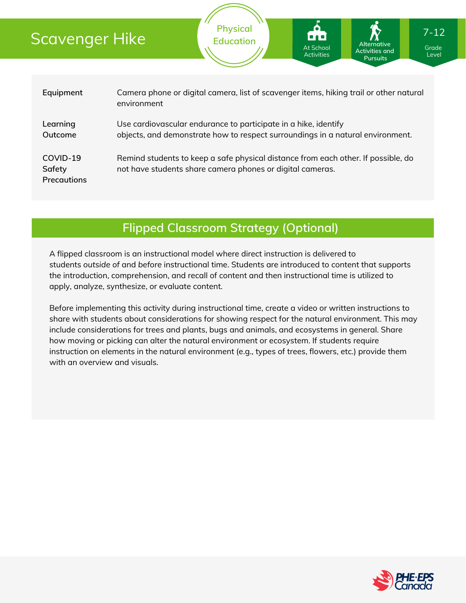| Scavenger Hike                    |                                                                                                                                                   | <b>Physical</b><br><b>Education</b>                                                    | ional<br>At School<br><b>Activities</b> | Alternative<br><b>Activities and</b><br><b>Pursuits</b> | $7 - 12$<br>Grade<br>Level |  |
|-----------------------------------|---------------------------------------------------------------------------------------------------------------------------------------------------|----------------------------------------------------------------------------------------|-----------------------------------------|---------------------------------------------------------|----------------------------|--|
| Equipment                         | environment                                                                                                                                       | Camera phone or digital camera, list of scavenger items, hiking trail or other natural |                                         |                                                         |                            |  |
| Learning<br>Outcome               | Use cardiovascular endurance to participate in a hike, identify<br>objects, and demonstrate how to respect surroundings in a natural environment. |                                                                                        |                                         |                                                         |                            |  |
| COVID-19<br>Safety<br>Precautions | Remind students to keep a safe physical distance from each other. If possible, do<br>not have students share camera phones or digital cameras.    |                                                                                        |                                         |                                                         |                            |  |

# **Flipped Classroom Strategy (Optional)**

A flipped classroom is an instructional model where direct instruction is delivered to students *outside of* and *before* instructional time. Students are introduced to content that supports the introduction, comprehension, and recall of content and then instructional time is utilized to apply, analyze, synthesize, or evaluate content.

Before implementing this activity during instructional time, create a video or written instructions to share with students about considerations for showing respect for the natural environment. This may include considerations for trees and plants, bugs and animals, and ecosystems in general. Share how moving or picking can alter the natural environment or ecosystem. If students require instruction on elements in the natural environment (e.g., types of trees, flowers, etc.) provide them with an overview and visuals.

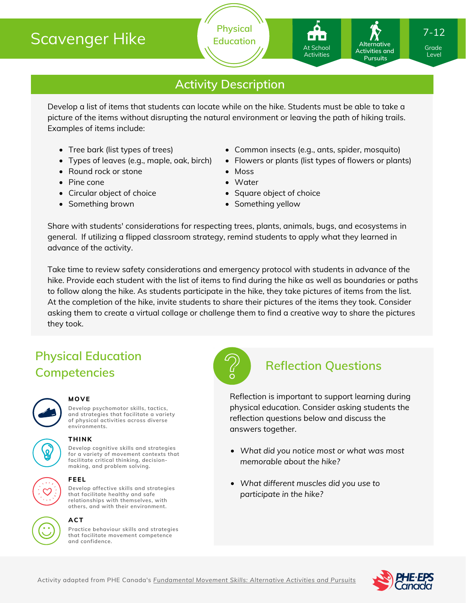# Scavenger Hike

**Physical Education**

## **Activity Description**

Develop a list of items that students can locate while on the hike. Students must be able to take a picture of the items without disrupting the natural environment or leaving the path of hiking trails. Examples of items include:

- Tree bark (list types of trees)
- Types of leaves (e.g., maple, oak, birch)
- Round rock or stone
- Pine cone
- Circular object of choice
- Something brown

Common insects (e.g., ants, spider, mosquito)

At School At School Activities Activities

• Flowers or plants (list types of flowers or plants)

Grade Grade Level Level

7-12

Activities and **Pursuits** 

**Alternative**

- Moss
- Water
- Square object of choice
- Something yellow

Share with students' considerations for respecting trees, plants, animals, bugs, and ecosystems in general. If utilizing a flipped classroom strategy, remind students to apply what they learned in advance of the activity.

Take time to review safety considerations and emergency protocol with students in advance of the hike. Provide each student with the list of items to find during the hike as well as boundaries or paths to follow along the hike. As students participate in the hike, they take pictures of items from the list. At the completion of the hike, invite students to share their pictures of the items they took. Consider asking them to create a virtual collage or challenge them to find a creative way to share the pictures they took.

# **Physical Education Competencies**



#### **MOVE**

**Develop psychomotor skills, tactics, and strategies that facilitate a variety of physical activities across diverse environments.**





## **THINK**

**Develop cognitive skills and strategies for a variety of movement contexts that facilitate critical thinking, decision making, and problem solving.**



#### **FEEL**

**Develop affective skills and strategies that facilitate healthy and safe relationships with themselves, with others, and with their environment.**



#### **Practice behaviour skills and strategies ACT**

**that facilitate movement competence and confidence.**



### **Reflection Questions**

Reflection is important to support learning during physical education. Consider asking students the reflection questions below and discuss the answers together.

- *What did you notice most or what was most memorable about the hike?*
- *What different muscles did you use to participate in the hike?*